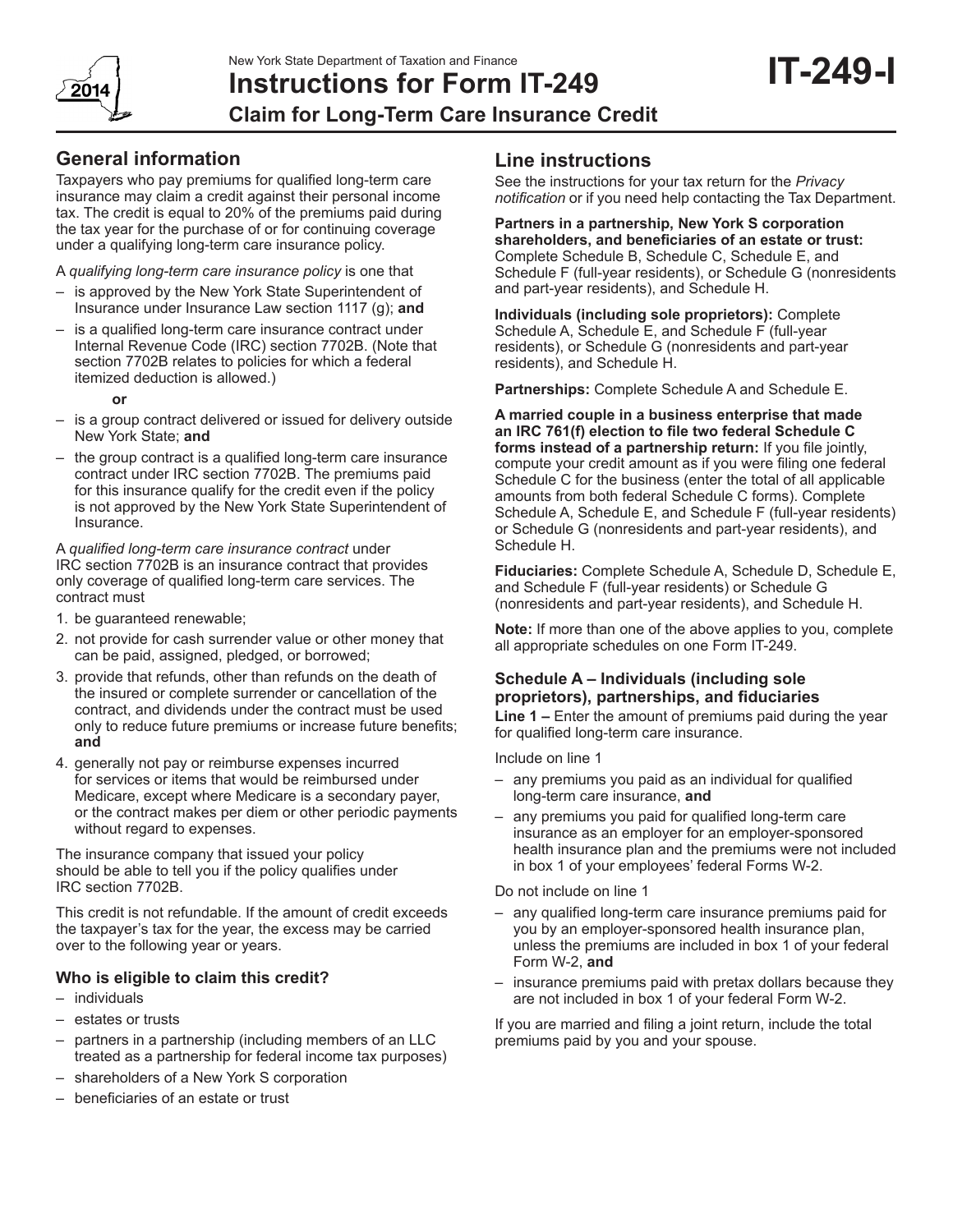# **Instructions for Form IT-249 Claim for Long-Term Care Insurance Credit**

# **General information**

Taxpayers who pay premiums for qualified long-term care insurance may claim a credit against their personal income tax. The credit is equal to 20% of the premiums paid during the tax year for the purchase of or for continuing coverage under a qualifying long-term care insurance policy.

A *qualifying long-term care insurance policy* is one that

- is approved by the New York State Superintendent of Insurance under Insurance Law section 1117 (g); **and**
- is a qualified long-term care insurance contract under Internal Revenue Code (IRC) section 7702B. (Note that section 7702B relates to policies for which a federal itemized deduction is allowed.)
	- **or**
- is a group contract delivered or issued for delivery outside New York State; **and**
- the group contract is a qualified long-term care insurance contract under IRC section 7702B. The premiums paid for this insurance qualify for the credit even if the policy is not approved by the New York State Superintendent of Insurance.

A *qualified long-term care insurance contract* under IRC section 7702B is an insurance contract that provides only coverage of qualified long-term care services. The contract must

- 1. be guaranteed renewable;
- 2. not provide for cash surrender value or other money that can be paid, assigned, pledged, or borrowed;
- 3. provide that refunds, other than refunds on the death of the insured or complete surrender or cancellation of the contract, and dividends under the contract must be used only to reduce future premiums or increase future benefits; **and**
- 4. generally not pay or reimburse expenses incurred for services or items that would be reimbursed under Medicare, except where Medicare is a secondary payer, or the contract makes per diem or other periodic payments without regard to expenses.

The insurance company that issued your policy should be able to tell you if the policy qualifies under IRC section 7702B.

This credit is not refundable. If the amount of credit exceeds the taxpayer's tax for the year, the excess may be carried over to the following year or years.

### **Who is eligible to claim this credit?**

- individuals
- estates or trusts
- partners in a partnership (including members of an LLC treated as a partnership for federal income tax purposes)
- shareholders of a New York S corporation
- beneficiaries of an estate or trust

## **Line instructions**

See the instructions for your tax return for the *Privacy notification* or if you need help contacting the Tax Department.

**Partners in a partnership, New York S corporation shareholders, and beneficiaries of an estate or trust:** Complete Schedule B, Schedule C, Schedule E, and Schedule F (full-year residents), or Schedule G (nonresidents and part-year residents), and Schedule H.

**Individuals (including sole proprietors):** Complete Schedule A, Schedule E, and Schedule F (full-year residents), or Schedule G (nonresidents and part-year residents), and Schedule H.

**Partnerships:** Complete Schedule A and Schedule E.

**A married couple in a business enterprise that made an IRC 761(f) election to file two federal Schedule C forms instead of a partnership return:** If you file jointly, compute your credit amount as if you were filing one federal Schedule C for the business (enter the total of all applicable amounts from both federal Schedule C forms). Complete Schedule A, Schedule E, and Schedule F (full-year residents) or Schedule G (nonresidents and part-year residents), and Schedule H.

**Fiduciaries:** Complete Schedule A, Schedule D, Schedule E, and Schedule F (full-year residents) or Schedule G (nonresidents and part-year residents), and Schedule H.

**Note:** If more than one of the above applies to you, complete all appropriate schedules on one Form IT-249.

### **Schedule A – Individuals (including sole proprietors), partnerships, and fiduciaries**

**Line 1 –** Enter the amount of premiums paid during the year for qualified long-term care insurance.

Include on line 1

- any premiums you paid as an individual for qualified long‑term care insurance, **and**
- any premiums you paid for qualified long‑term care insurance as an employer for an employer-sponsored health insurance plan and the premiums were not included in box 1 of your employees' federal Forms W‑2.

Do not include on line 1

- any qualified long-term care insurance premiums paid for you by an employer-sponsored health insurance plan, unless the premiums are included in box 1 of your federal Form W-2, **and**
- insurance premiums paid with pretax dollars because they are not included in box 1 of your federal Form W-2.

If you are married and filing a joint return, include the total premiums paid by you and your spouse.